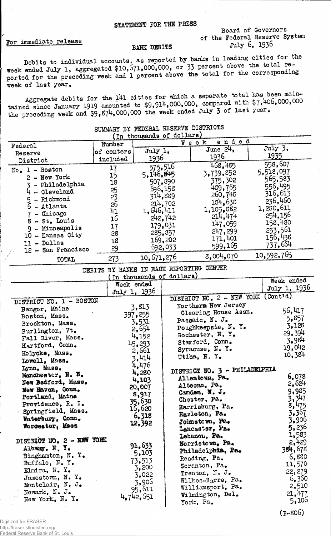Board of Governors of the Federal Reserve System

July 6. 1936

 $(B-806)$ 

For immediate release

## BANK DEBITS

Debits to individual accounts, as reported by banks in leading cities for the week ended July 1, aggregated \$10,571,000,000, or 33 percent above the total reported for the preceding week and 1 percent above the total for t week of last year.

Aggregate debits for the 141 cities for which a separate total has been maintained since January 1919 amounted to \$9,914,000,000, compared with \$7,406,000,000 the preceding week and \$9,874,000,000 the week ended July 3 of last year.

| (In thousands of dollars)    |                         |                          |         |                                    |              |  |
|------------------------------|-------------------------|--------------------------|---------|------------------------------------|--------------|--|
|                              | ended<br>Week<br>Number |                          |         |                                    |              |  |
| Federal                      | of centers              | July 1.                  |         | June $24$ ,                        | July 3,      |  |
| Reserve                      |                         | <u> 1936 </u>            |         | 1936                               | 1935         |  |
| District                     | included                |                          |         | 468,485                            | 558,607      |  |
| $No. 1 - Boston$             | 17                      | 575.516                  |         |                                    | 5,518,097    |  |
| 2 - New York                 | 15                      | 5,146,845                |         | 3,739,852                          | 565,583      |  |
| - Philadelphia               | 18                      | 507,890                  |         | 375,302                            | 556,495      |  |
| $4 -$ Cleveland              | $\frac{25}{23}$         | 696,158                  |         | 489,765                            | 316,613      |  |
| - Richmond<br>5 <sub>1</sub> |                         | 314,889                  |         | 260,748                            | 236,460      |  |
| $6 -$ Atlanta                | $26$<br>$41$            |                          | 214,702 | 184,638                            |              |  |
| - Chicago                    |                         | 1, 646, 411              |         | 1,105,882                          | 1,230,611    |  |
| 8 - St. Louis                | 16                      |                          | 242,742 | 214,474                            | 254,156      |  |
| - Minneapolis<br>9           | 17                      |                          | 179,031 | 147,059                            | 158,480      |  |
| 10 - Kansas City             | 28                      |                          | 285,857 | 247,299                            | 253,561      |  |
| 11 - Dallas                  | 18                      |                          | 169,202 | 171,401                            | 156,438      |  |
| 12 - San Francisco           | 29                      |                          | 692,033 | 599,165                            | 737,664      |  |
| TOTAL                        | 273                     | 10,671,276               |         | 8,004,070                          | 10,592,765   |  |
|                              |                         |                          |         |                                    |              |  |
|                              | DEBITS                  |                          |         | BY BANKS IN EACH REPORTING CENTER  |              |  |
|                              |                         | In thousands of dollars) |         |                                    | Week ended   |  |
|                              |                         | Week ended               |         |                                    | July 1, 1936 |  |
|                              |                         | July 1, 1936             |         |                                    |              |  |
| DISTRICT NO. 1 - BOSTON      |                         |                          |         | DISTRICT NO. 2 - NEW YORK (Cont'd) |              |  |
| Bangor, Maine                |                         | 3,813                    |         | Northerm New Jersey                | 56,417       |  |
| Boston, Mass.                |                         | 397, 255                 |         | Clearing House Assn.               | 5,857        |  |
| Brockton, Mass.              |                         | 3,531                    |         | Passaic, N. J.                     | 3,128        |  |
| Burlington, Vt.              |                         | 2,654                    |         | Poughkeepsie, N. Y.                |              |  |
| Fall River, Mass.            |                         | 4,152                    |         | Rochester, N. Y.                   | 29,394       |  |
| Hartford, Conn.              |                         | 45,293                   |         | Stamford, Conn.                    | 3,984        |  |
|                              |                         | $\sim$ Cm                |         | S                                  | 19,042       |  |

## SUMMARY BY FEDERAL RESERVE DISTRICTS

|                           | $JUY$ 1, $IZY$ |                                    |         |
|---------------------------|----------------|------------------------------------|---------|
| DISTRICT NO. 1 - BOSTON   |                | DISTRICT NO. 2 - NEW YORK (Cont'd) |         |
| Bangor, Maine             | 3,813          | Northerm New Jersey                |         |
|                           | 397, 255       | Clearing House Assn.               | 56,417  |
| Boston, Mass.             | 3,531          | Passaic, N. J.                     | 5,857   |
| Brockton, Mass.           | 2,654          | Poughkeepsie, N.Y.                 | 3,128   |
| Burlington, Vt.           |                | Rochester, N. Y.                   | 29,394  |
| Fall River, Mass.         | 4,152          | Stamford, Conn.                    | 3.984   |
| Hartford, Conn.           | 45,293         |                                    | 19,042  |
| Holyoke, Mass.            | 2,661          | Syracuse, N. Y.                    | 10,384  |
| Lowell, Mass.             | 3.414          | Utica, N. Y.                       |         |
| Lynn, Mass.               | 4,476          |                                    |         |
| Manchester, N. H.         | 4,280          | DISTRICT NO. 3 - PHILADELPHIA      |         |
| New Bedford, Mass.        | 4,103          | Allentown, Pa.                     | 6,078   |
|                           | 20,007         | Altoona, Pa.                       | 2,624   |
| New Haven, Conn.          | 8,917          | Camden, N.J.                       | 9,985   |
| Portland, Maine           | 35,630         | Chester, Pa.                       | 3,347   |
| Providence, R. I.         | 15,620         | Harrisburg, Pa.                    | 8,475   |
| - Springfield, Mass.      | 6,318          | Hazleton, Pa.                      | 3,367   |
| Waterbury, Conn.          |                | Johnstown, Pa.                     | 3,906   |
| Worcester, Mass           | 12,392         | Lancaster, Pa.                     | 5,236   |
|                           |                | Lebanon, Pa.                       | 1,583   |
| DISTRICT NO. 2 - XEW YORK |                | Norristewn, Pa.                    | 2,429   |
| Albany, N.Y.              | 91,633         |                                    | 384,678 |
| Binghamton, N. Y.         | 5,103          | Philadeiphia, Pa.                  | 6,880   |
| Buffalo, $N_{\bullet}$ Y. | 73,513         | Reading, Pa.                       |         |
| Elmira, N.Y.              | 3,200          | Scranton, Pa.                      | 11,570  |
| Jamestown, N.Y.           | 3,022          | Trenton, N.J.                      | 22,279  |
|                           | 3,906          | Wilkes-Barre, Pa.                  | 6,360   |
| Montclair, N. J.          | 95,611         | Williamsport, Pa.                  | 2,510   |
| Newark, N. J.             | 4,742,651      | Wilmington, Del.                   | 21,477  |
| New York, N.Y.            |                | York, Pa.                          | 5,106   |
|                           |                |                                    |         |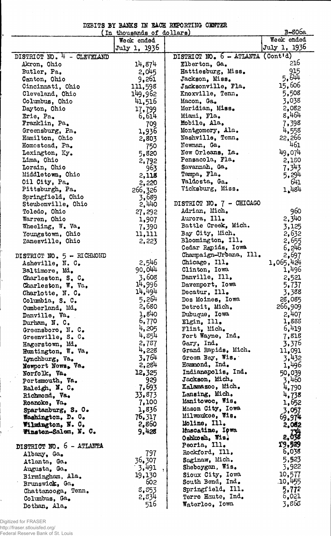| DEBITS BY BANKS IN RACH REPORTING CENTER |  |  |  |  |
|------------------------------------------|--|--|--|--|
|                                          |  |  |  |  |

|                            | In thousands of dollars) |                                   | <b>B-806a</b> |
|----------------------------|--------------------------|-----------------------------------|---------------|
|                            | Week ended               |                                   | Week ended    |
|                            | July 1, 1936             |                                   | July 1, 1936  |
| DISTRICT NO. 4 - CLEVELAND |                          | DISTRICT NO. 6 - ATLANTA (Cont'd) |               |
| Akron, Ohio                | 14,874                   | Elberton, Ga.                     | 216           |
| Butler, Pa.                | 2,045                    | Hattiesburg, Miss.                | 915           |
| Canton, Ohio               | 9,261                    | Jackson, Miss.                    | 5.644         |
| Cincinnati, Ohio           | 111,598                  | Jacksonville, Fla.                | 15,606        |
| Cleveland, Ohio            | 149,962                  | Knoxville, Tenn.                  | 5,508         |
| Columbus, Ohio             | 41,516                   | Macon, Ga.                        | 3,038         |
| Dayton, Ohio               | 17,799                   | Meridian, Miss.                   | 2,082         |
| Erie, Pa.                  | 6,614                    | Miami, Fla.                       | 8,464         |
| Franklin, Pa.              | 709                      | Mobile, Ala.                      | 7,398         |
| Greensburg, Pa.            |                          | Montgomery, Ala.                  | 4,558         |
| Hamilton, Ohio             | 1,936                    | Nashville, Tenn.                  | 22,266        |
|                            | 2,803                    | Newnan, Ga.                       | 461           |
| Homostead, Pa.             | 750                      | New Orleans, La.                  |               |
| Lexington, Ky.             | 5,820                    | Pensacola, Fla.                   | 49,074        |
| Lima, Ohio                 | 2,792                    |                                   | 2,150         |
| Lorain, Ohio               | 963                      | Savannah, Ga.                     | 7.343         |
| Middletown, Ohio           | 2,118                    | Tampa, Fla.                       | 5,294         |
| Oil City, Pa.              | 2,220                    | Valdosta, Ga.                     | 641           |
| Pittsburgh, Pa.            | 266,326                  | Vicksburg, Miss.                  | 1,484         |
| Springfield, Ohio          | 3,689                    |                                   |               |
| Steubenville, Ohio         | 2,440                    | DISTRICT NO. 7 - CHICAGO          |               |
| Toledo, Ohio               | 27,292                   | Adrian, Mich.                     | 960           |
| Warren, Ohio               | 1,907                    | Aurora, Ill.                      | 2,340         |
| Wheeling, W. Va.           | 7,390                    | Battle Creek, Mich.               | 3,125         |
| Youngstown, Ohio           | 11,111                   | Bay City, Mich.                   | 2,632         |
| Zanesville, Ohio           | 2,223                    | Bloomington, Ill.                 | 2,655         |
|                            |                          | Cedar Rapids, Iowa                | 6,246         |
| DISTRICT NO. 5 - RICHMOND  |                          | Champaign-Urbana, Ill.            | 2,697         |
| Asheville, N. C.           | 2,546                    | Chicago, Ill.                     | 1,065,424     |
| Baltimore, Md.             | 90,044                   | Clinton, Iowa                     | 1,496         |
| Charleston, S. C.          | 3,608                    | Danville, Ill.                    | 2,521         |
| Charleston, W. Va.         | 14,996                   | Davenport, Iowa                   | 5,737         |
| Charlotte, N. C.           | 14.494                   | Decatur, Ill.                     | 3,388         |
| Columbia, S. C.            | 5,264                    | Des Moines, Iowa                  | 28,085        |
| Cumberland, Md.            | 2,680                    | Detroit, Mich.                    | 266,909       |
| Danville, Va.              | 1.840                    | Dubuque, Iowa                     | 2,407         |
| Durham, N.C.               | 6,770                    | Elgin, Ill.                       | 1,888         |
| Greensboro, N. C.          | 4,205                    | Flint, Mich.                      | 6,419         |
| Greenville, S. C.          | 4,854                    | Fort Wayne, Ind.                  | 7,818         |
| Hagerstown, Md.            | 2,787                    | Gary, Ind.                        | 3,376         |
| Huntington. W. Va.         | 4,228                    | Grand Rapids, Mich.               | 11,091        |
| Lynchburg, Va.             | 3.764                    | Green Bay, Wis.                   | 3.432         |
| Newport News, Va.          | 2,284                    | Hammond, Ind.                     | 1,496         |
| Norfolk, Va.               | 12,325                   | Indianapolis. Ind.                | 50,039        |
| Portsmouth, Va.            | 929                      | Jackson, Mich.                    | 3,460         |
|                            | 7.693                    | Kalamazoo, Mich.                  | 4,790         |
| Raleigh, N. C.             | 33.873                   | Lansing, Mich.                    |               |
| Richmond, Va.              |                          | Manitowoc, Wis.                   | 4,738         |
| Roanoke, Va.               | 7,100                    | Mason City, Iowa                  | 1,652         |
| Spartanhurg, S. O.         | 1,836                    | Milwaukee, Wis.                   | 3,057         |
| Washington, D. O.          | 76,317                   | Moline, Ill.                      | 69.974        |
| Wilmington, N. C.          | 2,860                    | Muscatine, Ipwa                   | 2,062         |
| Winston-Salem, N. C.       | 9,428                    | Oshkosh, Wis.                     | 2,636         |
|                            |                          | Peoria, Ill.                      | 19,529        |
| DISTRICT NO. 6 - ATLANTA   |                          | Rockford, Ill.                    | 6,038         |
| Albany, Ga.                | 797                      |                                   | 5,523         |
| Atlanta, Ga.               | 36,307                   | Saginaw, Mich.                    |               |
| Augusta, Ga.               | 3,491                    | Sheboygan, Wis.                   | 3,922         |
| Birmingham, Ala.           | 19,130                   | Sioux City, Iowa                  | 10,577        |
| Brunswick, Ga.             | 602                      | South Bend, Ind.                  | .10,455       |
| Chattanooga, Tenn.         | 8,853                    | Springfield, Ill.                 | 5,772         |
| Columbus, Ga.              | 2,834                    | Terre Haute, Ind.                 | 6,021         |
| Dothan, Ala.               | 516                      | Waterloo, Iowa                    | 3,865         |

Digitized for FRASER http://fraser.stlouisfed.org/ Federal Reserve Bank of St. Louis

 $\ddot{\phantom{a}}$